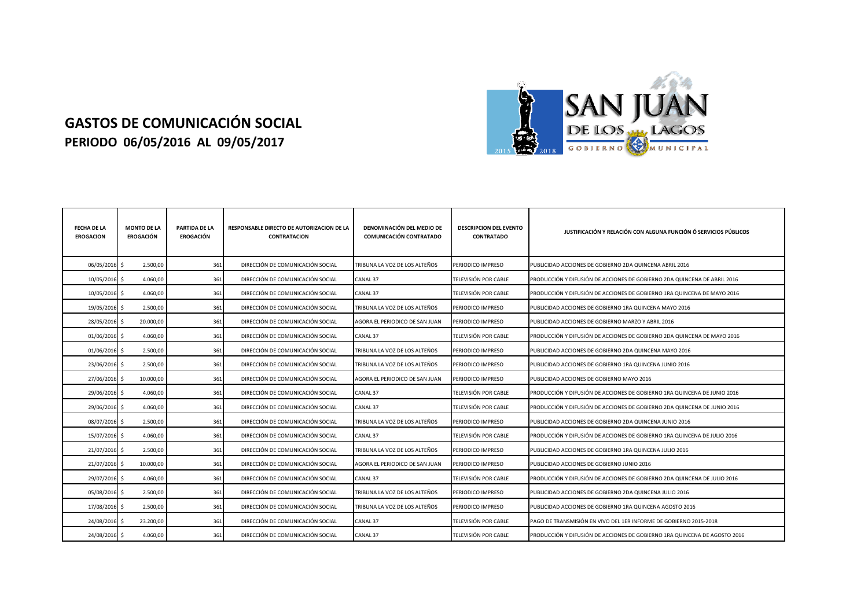## **GASTOS DE COMUNICACIÓN SOCIAL PERIODO 06/05/2016 AL 09/05/2017**



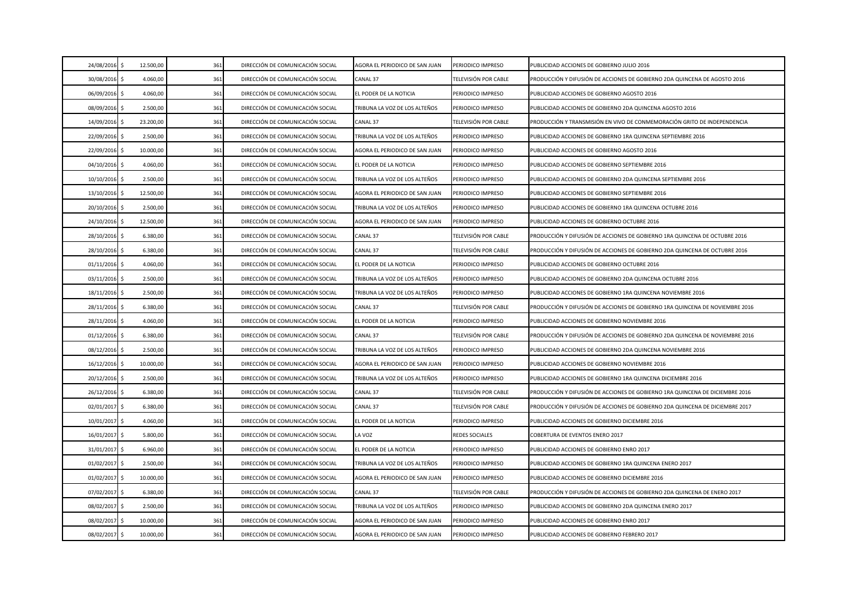| 24/08/2016    | S.  | 12.500,00 | 361 | DIRECCIÓN DE COMUNICACIÓN SOCIAL | AGORA EL PERIODICO DE SAN JUAN | PERIODICO IMPRESO     | PUBLICIDAD ACCIONES DE GOBIERNO JULIO 2016                                   |
|---------------|-----|-----------|-----|----------------------------------|--------------------------------|-----------------------|------------------------------------------------------------------------------|
| 30/08/2016    | S.  | 4.060,00  | 361 | DIRECCIÓN DE COMUNICACIÓN SOCIAL | CANAL 37                       | TELEVISIÓN POR CABLE  | PRODUCCIÓN Y DIFUSIÓN DE ACCIONES DE GOBIERNO 2DA QUINCENA DE AGOSTO 2016    |
| 06/09/2016    | S.  | 4.060,00  | 361 | DIRECCIÓN DE COMUNICACIÓN SOCIAL | EL PODER DE LA NOTICIA         | PERIODICO IMPRESO     | PUBLICIDAD ACCIONES DE GOBIERNO AGOSTO 2016                                  |
| 08/09/2016 \$ |     | 2.500,00  | 361 | DIRECCIÓN DE COMUNICACIÓN SOCIAL | TRIBUNA LA VOZ DE LOS ALTEÑOS  | PERIODICO IMPRESO     | PUBLICIDAD ACCIONES DE GOBIERNO 2DA QUINCENA AGOSTO 2016                     |
| 14/09/2016    | \$  | 23.200,00 | 361 | DIRECCIÓN DE COMUNICACIÓN SOCIAL | CANAL 37                       | TELEVISIÓN POR CABLE  | PRODUCCIÓN Y TRANSMISIÓN EN VIVO DE CONMEMORACIÓN GRITO DE INDEPENDENCIA     |
| 22/09/2016    | \$  | 2.500,00  | 361 | DIRECCIÓN DE COMUNICACIÓN SOCIAL | TRIBUNA LA VOZ DE LOS ALTEÑOS  | PERIODICO IMPRESO     | PUBLICIDAD ACCIONES DE GOBIERNO 1RA QUINCENA SEPTIEMBRE 2016                 |
| 22/09/2016    | \$  | 10.000,00 | 361 | DIRECCIÓN DE COMUNICACIÓN SOCIAL | AGORA EL PERIODICO DE SAN JUAN | PERIODICO IMPRESO     | PUBLICIDAD ACCIONES DE GOBIERNO AGOSTO 2016                                  |
| 04/10/2016    | \$  | 4.060,00  | 361 | DIRECCIÓN DE COMUNICACIÓN SOCIAL | EL PODER DE LA NOTICIA         | PERIODICO IMPRESO     | PUBLICIDAD ACCIONES DE GOBIERNO SEPTIEMBRE 2016                              |
| 10/10/2016    | Ŝ.  | 2.500,00  | 361 | DIRECCIÓN DE COMUNICACIÓN SOCIAL | TRIBUNA LA VOZ DE LOS ALTEÑOS  | PERIODICO IMPRESO     | PUBLICIDAD ACCIONES DE GOBIERNO 2DA QUINCENA SEPTIEMBRE 2016                 |
| 13/10/2016    | \$  | 12.500,00 | 361 | DIRECCIÓN DE COMUNICACIÓN SOCIAL | AGORA EL PERIODICO DE SAN JUAN | PERIODICO IMPRESO     | PUBLICIDAD ACCIONES DE GOBIERNO SEPTIEMBRE 2016                              |
| 20/10/2016    | \$  | 2.500,00  | 361 | DIRECCIÓN DE COMUNICACIÓN SOCIAL | TRIBUNA LA VOZ DE LOS ALTEÑOS  | PERIODICO IMPRESO     | PUBLICIDAD ACCIONES DE GOBIERNO 1RA QUINCENA OCTUBRE 2016                    |
| 24/10/2016    | -\$ | 12.500,00 | 361 | DIRECCIÓN DE COMUNICACIÓN SOCIAL | AGORA EL PERIODICO DE SAN JUAN | PERIODICO IMPRESO     | PUBLICIDAD ACCIONES DE GOBIERNO OCTUBRE 2016                                 |
| 28/10/2016    |     | 6.380,00  | 361 | DIRECCIÓN DE COMUNICACIÓN SOCIAL | CANAL 37                       | TELEVISIÓN POR CABLE  | PRODUCCIÓN Y DIFUSIÓN DE ACCIONES DE GOBIERNO 1RA QUINCENA DE OCTUBRE 2016   |
| 28/10/2016 \$ |     | 6.380,00  | 361 | DIRECCIÓN DE COMUNICACIÓN SOCIAL | CANAL 37                       | TELEVISIÓN POR CABLE  | PRODUCCIÓN Y DIFUSIÓN DE ACCIONES DE GOBIERNO 2DA QUINCENA DE OCTUBRE 2016   |
| 01/11/2016 \$ |     | 4.060,00  | 361 | DIRECCIÓN DE COMUNICACIÓN SOCIAL | EL PODER DE LA NOTICIA         | PERIODICO IMPRESO     | PUBLICIDAD ACCIONES DE GOBIERNO OCTUBRE 2016                                 |
| 03/11/2016 \$ |     | 2.500,00  | 361 | DIRECCIÓN DE COMUNICACIÓN SOCIAL | TRIBUNA LA VOZ DE LOS ALTEÑOS  | PERIODICO IMPRESO     | PUBLICIDAD ACCIONES DE GOBIERNO 2DA QUINCENA OCTUBRE 2016                    |
|               |     |           |     |                                  |                                |                       |                                                                              |
| 18/11/2016    | S.  | 2.500,00  | 361 | DIRECCIÓN DE COMUNICACIÓN SOCIAL | TRIBUNA LA VOZ DE LOS ALTEÑOS  | PERIODICO IMPRESO     | PUBLICIDAD ACCIONES DE GOBIERNO 1RA QUINCENA NOVIEMBRE 2016                  |
| 28/11/2016    |     | 6.380,00  | 361 | DIRECCIÓN DE COMUNICACIÓN SOCIAL | CANAL 37                       | TELEVISIÓN POR CABLE  | PRODUCCIÓN Y DIFUSIÓN DE ACCIONES DE GOBIERNO 1RA QUINCENA DE NOVIEMBRE 2016 |
| 28/11/2016    | \$  | 4.060,00  | 361 | DIRECCIÓN DE COMUNICACIÓN SOCIAL | EL PODER DE LA NOTICIA         | PERIODICO IMPRESO     | PUBLICIDAD ACCIONES DE GOBIERNO NOVIEMBRE 2016                               |
| 01/12/2016 \$ |     | 6.380,00  | 361 | DIRECCIÓN DE COMUNICACIÓN SOCIAL | CANAL 37                       | TELEVISIÓN POR CABLE  | PRODUCCIÓN Y DIFUSIÓN DE ACCIONES DE GOBIERNO 2DA QUINCENA DE NOVIEMBRE 2016 |
| 08/12/2016    | \$  | 2.500,00  | 361 | DIRECCIÓN DE COMUNICACIÓN SOCIAL | TRIBUNA LA VOZ DE LOS ALTEÑOS  | PERIODICO IMPRESO     | PUBLICIDAD ACCIONES DE GOBIERNO 2DA QUINCENA NOVIEMBRE 2016                  |
| 16/12/2016 \$ |     | 10.000,00 | 361 | DIRECCIÓN DE COMUNICACIÓN SOCIAL | AGORA EL PERIODICO DE SAN JUAN | PERIODICO IMPRESO     | PUBLICIDAD ACCIONES DE GOBIERNO NOVIEMBRE 2016                               |
| 20/12/2016    | S.  | 2.500,00  | 361 | DIRECCIÓN DE COMUNICACIÓN SOCIAL | TRIBUNA LA VOZ DE LOS ALTEÑOS  | PERIODICO IMPRESO     | PUBLICIDAD ACCIONES DE GOBIERNO 1RA QUINCENA DICIEMBRE 2016                  |
| 26/12/2016    | \$  | 6.380,00  | 361 | DIRECCIÓN DE COMUNICACIÓN SOCIAL | CANAL 37                       | TELEVISIÓN POR CABLE  | PRODUCCIÓN Y DIFUSIÓN DE ACCIONES DE GOBIERNO 1RA QUINCENA DE DICIEMBRE 2016 |
| 02/01/2017    | \$  | 6.380,00  | 361 | DIRECCIÓN DE COMUNICACIÓN SOCIAL | CANAL 37                       | TELEVISIÓN POR CABLE  | PRODUCCIÓN Y DIFUSIÓN DE ACCIONES DE GOBIERNO 2DA QUINCENA DE DICIEMBRE 2017 |
| 10/01/2017    | \$  | 4.060,00  | 361 | DIRECCIÓN DE COMUNICACIÓN SOCIAL | EL PODER DE LA NOTICIA         | PERIODICO IMPRESO     | PUBLICIDAD ACCIONES DE GOBIERNO DICIEMBRE 2016                               |
| 16/01/2017    | \$  | 5.800,00  | 361 | DIRECCIÓN DE COMUNICACIÓN SOCIAL | LA VOZ                         | <b>REDES SOCIALES</b> | COBERTURA DE EVENTOS ENERO 2017                                              |
| 31/01/2017    | Ŝ   | 6.960,00  | 361 | DIRECCIÓN DE COMUNICACIÓN SOCIAL | EL PODER DE LA NOTICIA         | PERIODICO IMPRESO     | PUBLICIDAD ACCIONES DE GOBIERNO ENRO 2017                                    |
| 01/02/2017    |     | 2.500,00  | 361 | DIRECCIÓN DE COMUNICACIÓN SOCIAL | TRIBUNA LA VOZ DE LOS ALTEÑOS  | PERIODICO IMPRESO     | PUBLICIDAD ACCIONES DE GOBIERNO 1RA QUINCENA ENERO 2017                      |
| 01/02/2017    | Ŝ.  | 10.000,00 | 361 | DIRECCIÓN DE COMUNICACIÓN SOCIAL | AGORA EL PERIODICO DE SAN JUAN | PERIODICO IMPRESO     | PUBLICIDAD ACCIONES DE GOBIERNO DICIEMBRE 2016                               |
| 07/02/2017 \$ |     | 6.380,00  | 361 | DIRECCIÓN DE COMUNICACIÓN SOCIAL | CANAL 37                       | TELEVISIÓN POR CABLE  | PRODUCCIÓN Y DIFUSIÓN DE ACCIONES DE GOBIERNO 2DA QUINCENA DE ENERO 2017     |
| 08/02/2017    | \$  | 2.500,00  | 361 | DIRECCIÓN DE COMUNICACIÓN SOCIAL | TRIBUNA LA VOZ DE LOS ALTEÑOS  | PERIODICO IMPRESO     | PUBLICIDAD ACCIONES DE GOBIERNO 2DA QUINCENA ENERO 2017                      |
| 08/02/2017    | \$  | 10.000,00 | 361 | DIRECCIÓN DE COMUNICACIÓN SOCIAL | AGORA EL PERIODICO DE SAN JUAN | PERIODICO IMPRESO     | PUBLICIDAD ACCIONES DE GOBIERNO ENRO 2017                                    |